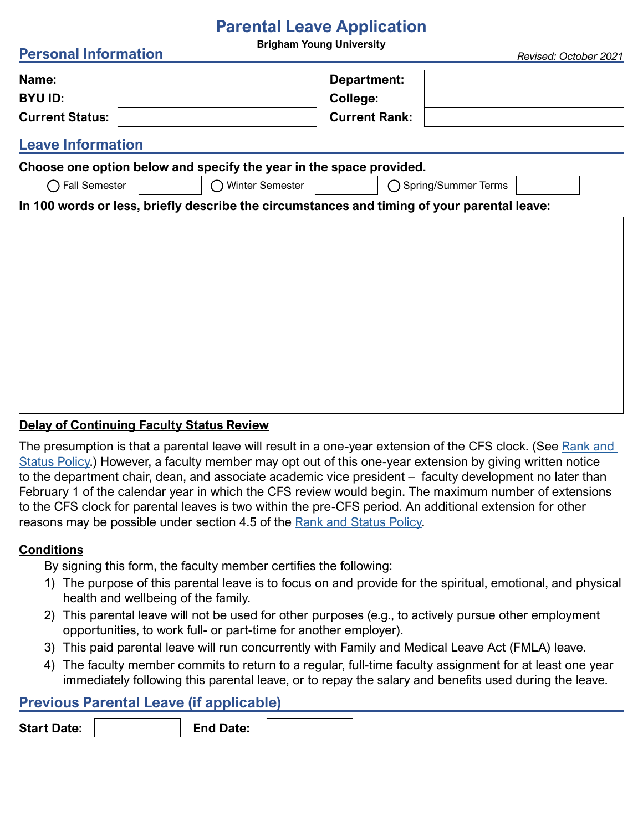# **Parental Leave Application**

**Brigham Young University Personal Information** *Revised: October 2021*

|                        | <u>NGNJOG, OGIODOL ZOZ I</u> |  |
|------------------------|------------------------------|--|
| Name:                  | Department:                  |  |
| <b>BYU ID:</b>         | College:                     |  |
| <b>Current Status:</b> | <b>Current Rank:</b>         |  |

## **Leave Information**

| Choose one option below and specify the year in the space provided.                         |                 |                       |  |  |  |  |  |  |
|---------------------------------------------------------------------------------------------|-----------------|-----------------------|--|--|--|--|--|--|
| ◯ Fall Semester                                                                             | Winter Semester | ◯ Spring/Summer Terms |  |  |  |  |  |  |
| In 100 words or less, briefly describe the circumstances and timing of your parental leave: |                 |                       |  |  |  |  |  |  |
|                                                                                             |                 |                       |  |  |  |  |  |  |
|                                                                                             |                 |                       |  |  |  |  |  |  |
|                                                                                             |                 |                       |  |  |  |  |  |  |
|                                                                                             |                 |                       |  |  |  |  |  |  |
|                                                                                             |                 |                       |  |  |  |  |  |  |
|                                                                                             |                 |                       |  |  |  |  |  |  |
|                                                                                             |                 |                       |  |  |  |  |  |  |
|                                                                                             |                 |                       |  |  |  |  |  |  |
|                                                                                             |                 |                       |  |  |  |  |  |  |
|                                                                                             |                 |                       |  |  |  |  |  |  |

#### **Delay of Continuing Faculty Status Review**

The presumption is that a parental leave will result in a one-year extension of the CFS clock. (See Rank and [Status Policy.](http://Rank and Status Policy)) However, a faculty member may opt out of this one-year extension by giving written notice to the department chair, dean, and associate academic vice president – faculty development no later than February 1 of the calendar year in which the CFS review would begin. The maximum number of extensions to the CFS clock for parental leaves is two within the pre-CFS period. An additional extension for other reasons may be possible under section 4.5 of the [Rank and Status Policy.](http://Rank and Status Policy)

### **Conditions**

By signing this form, the faculty member certifies the following:

- 1) The purpose of this parental leave is to focus on and provide for the spiritual, emotional, and physical health and wellbeing of the family.
- 2) This parental leave will not be used for other purposes (e.g., to actively pursue other employment opportunities, to work full- or part-time for another employer).
- 3) This paid parental leave will run concurrently with Family and Medical Leave Act (FMLA) leave.
- 4) The faculty member commits to return to a regular, full-time faculty assignment for at least one year immediately following this parental leave, or to repay the salary and benefits used during the leave.

### **Previous Parental Leave (if applicable)**

**Start Date: End Date:**